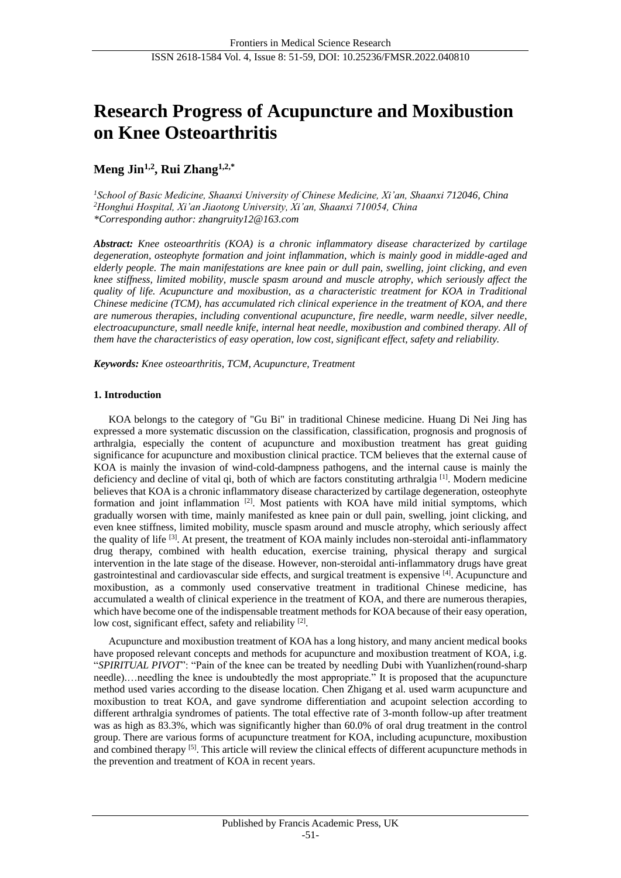# **Research Progress of Acupuncture and Moxibustion on Knee Osteoarthritis**

## **Meng Jin1,2 , Rui Zhang1,2,\***

*<sup>1</sup>School of Basic Medicine, Shaanxi University of Chinese Medicine, Xi'an, Shaanxi 712046, China <sup>2</sup>Honghui Hospital, Xi'an Jiaotong University, Xi'an, Shaanxi 710054, China \*Corresponding author: zhangruity12@163.com*

*Abstract: Knee osteoarthritis (KOA) is a chronic inflammatory disease characterized by cartilage degeneration, osteophyte formation and joint inflammation, which is mainly good in middle-aged and elderly people. The main manifestations are knee pain or dull pain, swelling, joint clicking, and even knee stiffness, limited mobility, muscle spasm around and muscle atrophy, which seriously affect the quality of life. Acupuncture and moxibustion, as a characteristic treatment for KOA in Traditional Chinese medicine (TCM), has accumulated rich clinical experience in the treatment of KOA, and there are numerous therapies, including conventional acupuncture, fire needle, warm needle, silver needle, electroacupuncture, small needle knife, internal heat needle, moxibustion and combined therapy. All of them have the characteristics of easy operation, low cost, significant effect, safety and reliability.*

*Keywords: Knee osteoarthritis, TCM, Acupuncture, Treatment*

## **1. Introduction**

KOA belongs to the category of "Gu Bi" in traditional Chinese medicine. Huang Di Nei Jing has expressed a more systematic discussion on the classification, classification, prognosis and prognosis of arthralgia, especially the content of acupuncture and moxibustion treatment has great guiding significance for acupuncture and moxibustion clinical practice. TCM believes that the external cause of KOA is mainly the invasion of wind-cold-dampness pathogens, and the internal cause is mainly the deficiency and decline of vital qi, both of which are factors constituting arthralgia  $^{[1]}$ . Modern medicine believes that KOA is a chronic inflammatory disease characterized by cartilage degeneration, osteophyte formation and joint inflammation  $[2]$ . Most patients with KOA have mild initial symptoms, which gradually worsen with time, mainly manifested as knee pain or dull pain, swelling, joint clicking, and even knee stiffness, limited mobility, muscle spasm around and muscle atrophy, which seriously affect the quality of life [3]. At present, the treatment of KOA mainly includes non-steroidal anti-inflammatory drug therapy, combined with health education, exercise training, physical therapy and surgical intervention in the late stage of the disease. However, non-steroidal anti-inflammatory drugs have great gastrointestinal and cardiovascular side effects, and surgical treatment is expensive [4]. Acupuncture and moxibustion, as a commonly used conservative treatment in traditional Chinese medicine, has accumulated a wealth of clinical experience in the treatment of KOA, and there are numerous therapies, which have become one of the indispensable treatment methods for KOA because of their easy operation, low cost, significant effect, safety and reliability [2].

Acupuncture and moxibustion treatment of KOA has a long history, and many ancient medical books have proposed relevant concepts and methods for acupuncture and moxibustion treatment of KOA, i.g. "*SPIRITUAL PIVOT*": "Pain of the knee can be treated by needling Dubi with Yuanlizhen(round-sharp needle).…needling the knee is undoubtedly the most appropriate." It is proposed that the acupuncture method used varies according to the disease location. Chen Zhigang et al. used warm acupuncture and moxibustion to treat KOA, and gave syndrome differentiation and acupoint selection according to different arthralgia syndromes of patients. The total effective rate of 3-month follow-up after treatment was as high as 83.3%, which was significantly higher than 60.0% of oral drug treatment in the control group. There are various forms of acupuncture treatment for KOA, including acupuncture, moxibustion and combined therapy [5]. This article will review the clinical effects of different acupuncture methods in the prevention and treatment of KOA in recent years.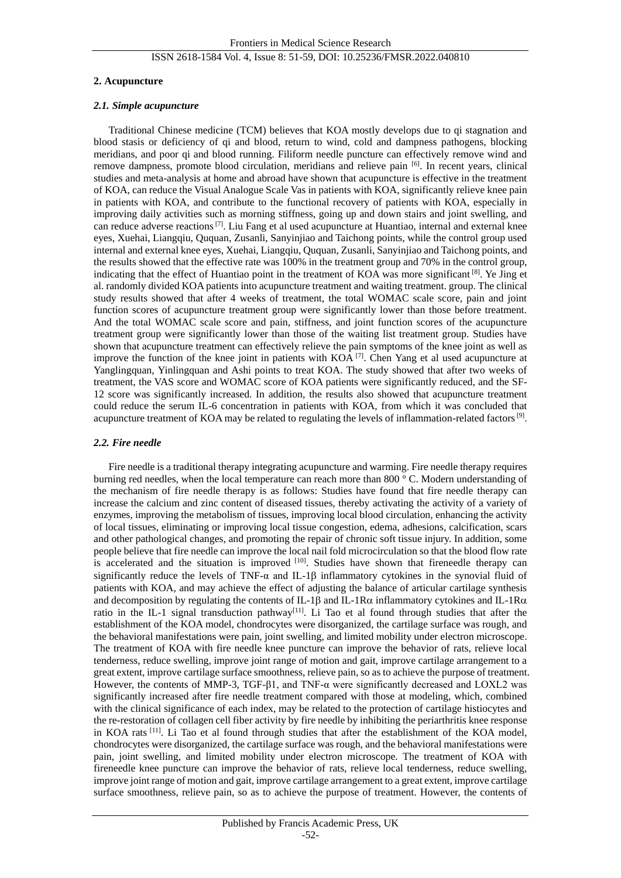#### **2. Acupuncture**

#### *2.1. Simple acupuncture*

Traditional Chinese medicine (TCM) believes that KOA mostly develops due to qi stagnation and blood stasis or deficiency of qi and blood, return to wind, cold and dampness pathogens, blocking meridians, and poor qi and blood running. Filiform needle puncture can effectively remove wind and remove dampness, promote blood circulation, meridians and relieve pain [6]. In recent years, clinical studies and meta-analysis at home and abroad have shown that acupuncture is effective in the treatment of KOA, can reduce the Visual Analogue Scale Vas in patients with KOA, significantly relieve knee pain in patients with KOA, and contribute to the functional recovery of patients with KOA, especially in improving daily activities such as morning stiffness, going up and down stairs and joint swelling, and can reduce adverse reactions<sup>[7]</sup>. Liu Fang et al used acupuncture at Huantiao, internal and external knee eyes, Xuehai, Liangqiu, Ququan, Zusanli, Sanyinjiao and Taichong points, while the control group used internal and external knee eyes, Xuehai, Liangqiu, Ququan, Zusanli, Sanyinjiao and Taichong points, and the results showed that the effective rate was 100% in the treatment group and 70% in the control group, indicating that the effect of Huantiao point in the treatment of KOA was more significant  $[8]$ . Ye Jing et al. randomly divided KOA patients into acupuncture treatment and waiting treatment. group. The clinical study results showed that after 4 weeks of treatment, the total WOMAC scale score, pain and joint function scores of acupuncture treatment group were significantly lower than those before treatment. And the total WOMAC scale score and pain, stiffness, and joint function scores of the acupuncture treatment group were significantly lower than those of the waiting list treatment group. Studies have shown that acupuncture treatment can effectively relieve the pain symptoms of the knee joint as well as improve the function of the knee joint in patients with KOA<sup>[7]</sup>. Chen Yang et al used acupuncture at Yanglingquan, Yinlingquan and Ashi points to treat KOA. The study showed that after two weeks of treatment, the VAS score and WOMAC score of KOA patients were significantly reduced, and the SF-12 score was significantly increased. In addition, the results also showed that acupuncture treatment could reduce the serum IL-6 concentration in patients with KOA, from which it was concluded that acupuncture treatment of KOA may be related to regulating the levels of inflammation-related factors<sup>[9]</sup>.

#### *2.2. Fire needle*

Fire needle is a traditional therapy integrating acupuncture and warming. Fire needle therapy requires burning red needles, when the local temperature can reach more than 800 °C. Modern understanding of the mechanism of fire needle therapy is as follows: Studies have found that fire needle therapy can increase the calcium and zinc content of diseased tissues, thereby activating the activity of a variety of enzymes, improving the metabolism of tissues, improving local blood circulation, enhancing the activity of local tissues, eliminating or improving local tissue congestion, edema, adhesions, calcification, scars and other pathological changes, and promoting the repair of chronic soft tissue injury. In addition, some people believe that fire needle can improve the local nail fold microcirculation so that the blood flow rate is accelerated and the situation is improved [10]. Studies have shown that fireneedle therapy can significantly reduce the levels of TNF- $\alpha$  and IL-1 $\beta$  inflammatory cytokines in the synovial fluid of patients with KOA, and may achieve the effect of adjusting the balance of articular cartilage synthesis and decomposition by regulating the contents of IL-1 $\beta$  and IL-1 $\beta\alpha$  inflammatory cytokines and IL-1 $\beta\alpha$ ratio in the IL-1 signal transduction pathway<sup>[11]</sup>. Li Tao et al found through studies that after the establishment of the KOA model, chondrocytes were disorganized, the cartilage surface was rough, and the behavioral manifestations were pain, joint swelling, and limited mobility under electron microscope. The treatment of KOA with fire needle knee puncture can improve the behavior of rats, relieve local tenderness, reduce swelling, improve joint range of motion and gait, improve cartilage arrangement to a great extent, improve cartilage surface smoothness, relieve pain, so as to achieve the purpose of treatment. However, the contents of MMP-3, TGF-β1, and TNF-α were significantly decreased and LOXL2 was significantly increased after fire needle treatment compared with those at modeling, which, combined with the clinical significance of each index, may be related to the protection of cartilage histiocytes and the re-restoration of collagen cell fiber activity by fire needle by inhibiting the periarthritis knee response in KOA rats [11]. Li Tao et al found through studies that after the establishment of the KOA model, chondrocytes were disorganized, the cartilage surface was rough, and the behavioral manifestations were pain, joint swelling, and limited mobility under electron microscope. The treatment of KOA with fireneedle knee puncture can improve the behavior of rats, relieve local tenderness, reduce swelling, improve joint range of motion and gait, improve cartilage arrangement to a great extent, improve cartilage surface smoothness, relieve pain, so as to achieve the purpose of treatment. However, the contents of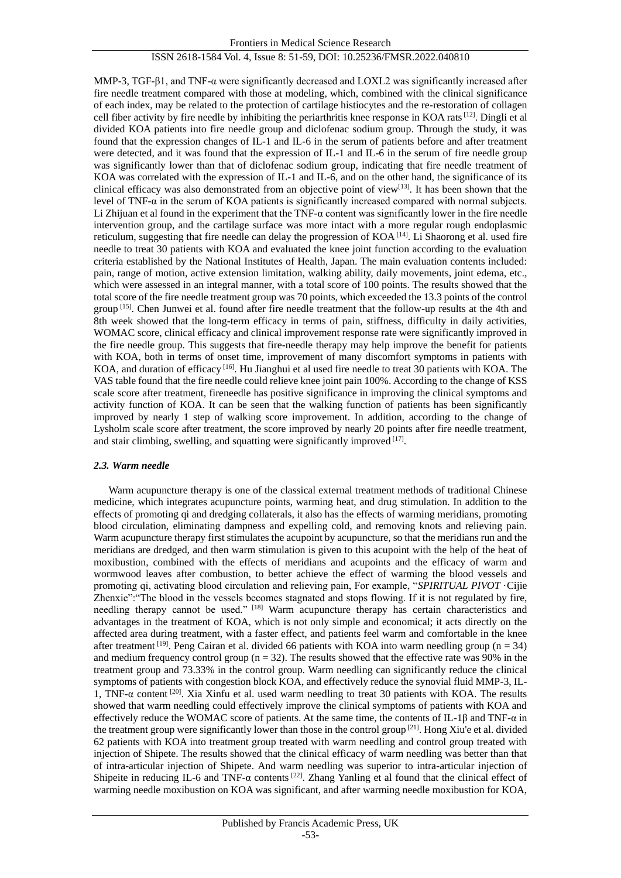MMP-3, TGF- $\beta$ 1, and TNF- $\alpha$  were significantly decreased and LOXL2 was significantly increased after fire needle treatment compared with those at modeling, which, combined with the clinical significance of each index, may be related to the protection of cartilage histiocytes and the re-restoration of collagen cell fiber activity by fire needle by inhibiting the periarthritis knee response in KOA rats<sup>[12]</sup>. Dingli et al divided KOA patients into fire needle group and diclofenac sodium group. Through the study, it was found that the expression changes of IL-1 and IL-6 in the serum of patients before and after treatment were detected, and it was found that the expression of IL-1 and IL-6 in the serum of fire needle group was significantly lower than that of diclofenac sodium group, indicating that fire needle treatment of KOA was correlated with the expression of IL-1 and IL-6, and on the other hand, the significance of its clinical efficacy was also demonstrated from an objective point of view<sup>[13]</sup>. It has been shown that the level of TNF-α in the serum of KOA patients is significantly increased compared with normal subjects. Li Zhijuan et al found in the experiment that the TNF- $\alpha$  content was significantly lower in the fire needle intervention group, and the cartilage surface was more intact with a more regular rough endoplasmic reticulum, suggesting that fire needle can delay the progression of  $KOA<sup>[14]</sup>$ . Li Shaorong et al. used fire needle to treat 30 patients with KOA and evaluated the knee joint function according to the evaluation criteria established by the National Institutes of Health, Japan. The main evaluation contents included: pain, range of motion, active extension limitation, walking ability, daily movements, joint edema, etc., which were assessed in an integral manner, with a total score of 100 points. The results showed that the total score of the fire needle treatment group was 70 points, which exceeded the 13.3 points of the control group [15]. Chen Junwei et al. found after fire needle treatment that the follow-up results at the 4th and 8th week showed that the long-term efficacy in terms of pain, stiffness, difficulty in daily activities, WOMAC score, clinical efficacy and clinical improvement response rate were significantly improved in the fire needle group. This suggests that fire-needle therapy may help improve the benefit for patients with KOA, both in terms of onset time, improvement of many discomfort symptoms in patients with KOA, and duration of efficacy <sup>[16]</sup>. Hu Jianghui et al used fire needle to treat 30 patients with KOA. The VAS table found that the fire needle could relieve knee joint pain 100%. According to the change of KSS scale score after treatment, fireneedle has positive significance in improving the clinical symptoms and activity function of KOA. It can be seen that the walking function of patients has been significantly improved by nearly 1 step of walking score improvement. In addition, according to the change of Lysholm scale score after treatment, the score improved by nearly 20 points after fire needle treatment, and stair climbing, swelling, and squatting were significantly improved [17].

#### *2.3. Warm needle*

Warm acupuncture therapy is one of the classical external treatment methods of traditional Chinese medicine, which integrates acupuncture points, warming heat, and drug stimulation. In addition to the effects of promoting qi and dredging collaterals, it also has the effects of warming meridians, promoting blood circulation, eliminating dampness and expelling cold, and removing knots and relieving pain. Warm acupuncture therapy first stimulates the acupoint by acupuncture, so that the meridians run and the meridians are dredged, and then warm stimulation is given to this acupoint with the help of the heat of moxibustion, combined with the effects of meridians and acupoints and the efficacy of warm and wormwood leaves after combustion, to better achieve the effect of warming the blood vessels and promoting qi, activating blood circulation and relieving pain, For example, "*SPIRITUAL PIVOT* Cijie Zhenxie":"The blood in the vessels becomes stagnated and stops flowing. If it is not regulated by fire, needling therapy cannot be used." [18] Warm acupuncture therapy has certain characteristics and advantages in the treatment of KOA, which is not only simple and economical; it acts directly on the affected area during treatment, with a faster effect, and patients feel warm and comfortable in the knee after treatment [19]. Peng Cairan et al. divided 66 patients with KOA into warm needling group ( $n = 34$ ) and medium frequency control group ( $n = 32$ ). The results showed that the effective rate was 90% in the treatment group and 73.33% in the control group. Warm needling can significantly reduce the clinical symptoms of patients with congestion block KOA, and effectively reduce the synovial fluid MMP-3, IL-1, TNF-α content [20]. Xia Xinfu et al. used warm needling to treat 30 patients with KOA. The results showed that warm needling could effectively improve the clinical symptoms of patients with KOA and effectively reduce the WOMAC score of patients. At the same time, the contents of IL-1 $\beta$  and TNF- $\alpha$  in the treatment group were significantly lower than those in the control group [21]. Hong Xiu'e et al. divided 62 patients with KOA into treatment group treated with warm needling and control group treated with injection of Shipete. The results showed that the clinical efficacy of warm needling was better than that of intra-articular injection of Shipete. And warm needling was superior to intra-articular injection of Shipeite in reducing IL-6 and TNF- $\alpha$  contents <sup>[22]</sup>. Zhang Yanling et al found that the clinical effect of warming needle moxibustion on KOA was significant, and after warming needle moxibustion for KOA,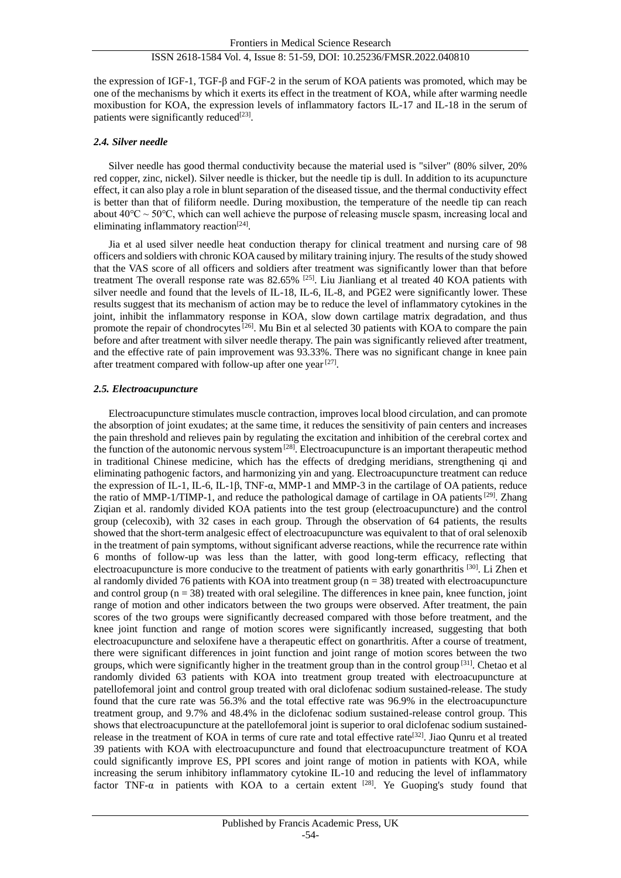the expression of IGF-1, TGF-β and FGF-2 in the serum of KOA patients was promoted, which may be one of the mechanisms by which it exerts its effect in the treatment of KOA, while after warming needle moxibustion for KOA, the expression levels of inflammatory factors IL-17 and IL-18 in the serum of patients were significantly reduced $^{[23]}$ .

#### *2.4. Silver needle*

Silver needle has good thermal conductivity because the material used is "silver" (80% silver, 20% red copper, zinc, nickel). Silver needle is thicker, but the needle tip is dull. In addition to its acupuncture effect, it can also play a role in blunt separation of the diseased tissue, and the thermal conductivity effect is better than that of filiform needle. During moxibustion, the temperature of the needle tip can reach about  $40^{\circ}\text{C} \sim 50^{\circ}\text{C}$ , which can well achieve the purpose of releasing muscle spasm, increasing local and eliminating inflammatory reaction<sup>[24]</sup>.

Jia et al used silver needle heat conduction therapy for clinical treatment and nursing care of 98 officers and soldiers with chronic KOA caused by military training injury. The results of the study showed that the VAS score of all officers and soldiers after treatment was significantly lower than that before treatment The overall response rate was 82.65% <sup>[25]</sup>. Liu Jianliang et al treated 40 KOA patients with silver needle and found that the levels of IL-18, IL-6, IL-8, and PGE2 were significantly lower. These results suggest that its mechanism of action may be to reduce the level of inflammatory cytokines in the joint, inhibit the inflammatory response in KOA, slow down cartilage matrix degradation, and thus promote the repair of chondrocytes<sup>[26]</sup>. Mu Bin et al selected 30 patients with KOA to compare the pain before and after treatment with silver needle therapy. The pain was significantly relieved after treatment, and the effective rate of pain improvement was 93.33%. There was no significant change in knee pain after treatment compared with follow-up after one year<sup>[27]</sup>.

#### *2.5. Electroacupuncture*

Electroacupuncture stimulates muscle contraction, improves local blood circulation, and can promote the absorption of joint exudates; at the same time, it reduces the sensitivity of pain centers and increases the pain threshold and relieves pain by regulating the excitation and inhibition of the cerebral cortex and the function of the autonomic nervous system  $^{[28]}$ . Electroacupuncture is an important therapeutic method in traditional Chinese medicine, which has the effects of dredging meridians, strengthening qi and eliminating pathogenic factors, and harmonizing yin and yang. Electroacupuncture treatment can reduce the expression of IL-1, IL-6, IL-1β, TNF- $\alpha$ , MMP-1 and MMP-3 in the cartilage of OA patients, reduce the ratio of MMP-1/TIMP-1, and reduce the pathological damage of cartilage in OA patients<sup>[29]</sup>. Zhang Ziqian et al. randomly divided KOA patients into the test group (electroacupuncture) and the control group (celecoxib), with 32 cases in each group. Through the observation of 64 patients, the results showed that the short-term analgesic effect of electroacupuncture was equivalent to that of oral selenoxib in the treatment of pain symptoms, without significant adverse reactions, while the recurrence rate within 6 months of follow-up was less than the latter, with good long-term efficacy, reflecting that electroacupuncture is more conducive to the treatment of patients with early gonarthritis [30]. Li Zhen et al randomly divided 76 patients with KOA into treatment group  $(n = 38)$  treated with electroacupuncture and control group  $(n = 38)$  treated with oral selegiline. The differences in knee pain, knee function, joint range of motion and other indicators between the two groups were observed. After treatment, the pain scores of the two groups were significantly decreased compared with those before treatment, and the knee joint function and range of motion scores were significantly increased, suggesting that both electroacupuncture and seloxifene have a therapeutic effect on gonarthritis. After a course of treatment, there were significant differences in joint function and joint range of motion scores between the two groups, which were significantly higher in the treatment group than in the control group [31]. Chetao et al randomly divided 63 patients with KOA into treatment group treated with electroacupuncture at patellofemoral joint and control group treated with oral diclofenac sodium sustained-release. The study found that the cure rate was 56.3% and the total effective rate was 96.9% in the electroacupuncture treatment group, and 9.7% and 48.4% in the diclofenac sodium sustained-release control group. This shows that electroacupuncture at the patellofemoral joint is superior to oral diclofenac sodium sustainedrelease in the treatment of KOA in terms of cure rate and total effective rate<sup>[32]</sup>. Jiao Ounru et al treated 39 patients with KOA with electroacupuncture and found that electroacupuncture treatment of KOA could significantly improve ES, PPI scores and joint range of motion in patients with KOA, while increasing the serum inhibitory inflammatory cytokine IL-10 and reducing the level of inflammatory factor TNF- $\alpha$  in patients with KOA to a certain extent [28]. Ye Guoping's study found that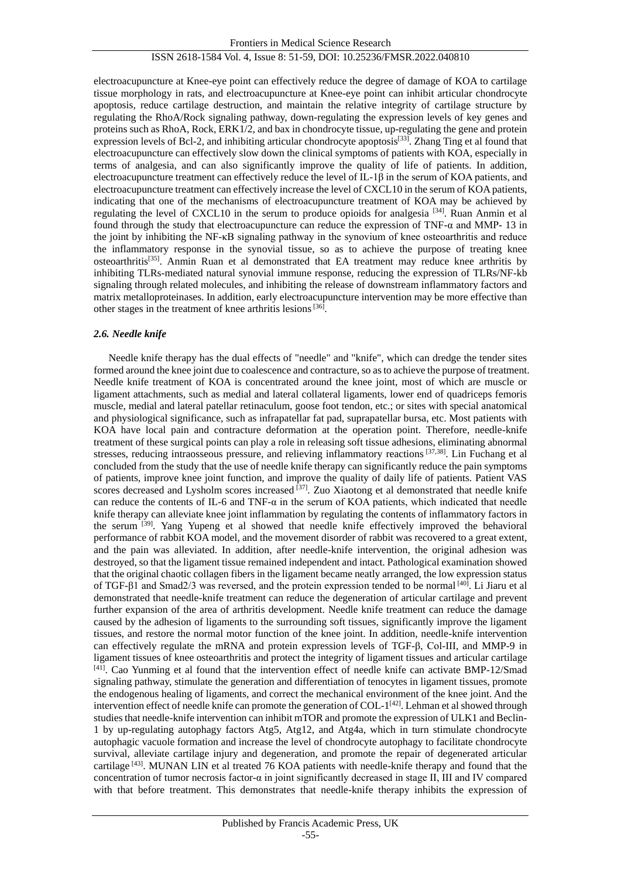electroacupuncture at Knee-eye point can effectively reduce the degree of damage of KOA to cartilage tissue morphology in rats, and electroacupuncture at Knee-eye point can inhibit articular chondrocyte apoptosis, reduce cartilage destruction, and maintain the relative integrity of cartilage structure by regulating the RhoA/Rock signaling pathway, down-regulating the expression levels of key genes and proteins such as RhoA, Rock, ERK1/2, and bax in chondrocyte tissue, up-regulating the gene and protein expression levels of Bcl-2, and inhibiting articular chondrocyte apoptosis<sup>[33]</sup>. Zhang Ting et al found that electroacupuncture can effectively slow down the clinical symptoms of patients with KOA, especially in terms of analgesia, and can also significantly improve the quality of life of patients. In addition, electroacupuncture treatment can effectively reduce the level of  $IL-1\beta$  in the serum of KOA patients, and electroacupuncture treatment can effectively increase the level of CXCL10 in the serum of KOA patients, indicating that one of the mechanisms of electroacupuncture treatment of KOA may be achieved by regulating the level of CXCL10 in the serum to produce opioids for analgesia<sup>[34]</sup>. Ruan Anmin et al found through the study that electroacupuncture can reduce the expression of TNF-α and MMP- 13 in the joint by inhibiting the NF-κB signaling pathway in the synovium of knee osteoarthritis and reduce the inflammatory response in the synovial tissue, so as to achieve the purpose of treating knee osteoarthritis[35]. Anmin Ruan et al demonstrated that EA treatment may reduce knee arthritis by inhibiting TLRs-mediated natural synovial immune response, reducing the expression of TLRs/NF-kb signaling through related molecules, and inhibiting the release of downstream inflammatory factors and matrix metalloproteinases. In addition, early electroacupuncture intervention may be more effective than other stages in the treatment of knee arthritis lesions<sup>[36]</sup>.

#### *2.6. Needle knife*

Needle knife therapy has the dual effects of "needle" and "knife", which can dredge the tender sites formed around the knee joint due to coalescence and contracture, so as to achieve the purpose of treatment. Needle knife treatment of KOA is concentrated around the knee joint, most of which are muscle or ligament attachments, such as medial and lateral collateral ligaments, lower end of quadriceps femoris muscle, medial and lateral patellar retinaculum, goose foot tendon, etc.; or sites with special anatomical and physiological significance, such as infrapatellar fat pad, suprapatellar bursa, etc. Most patients with KOA have local pain and contracture deformation at the operation point. Therefore, needle-knife treatment of these surgical points can play a role in releasing soft tissue adhesions, eliminating abnormal stresses, reducing intraosseous pressure, and relieving inflammatory reactions [37,38]. Lin Fuchang et al concluded from the study that the use of needle knife therapy can significantly reduce the pain symptoms of patients, improve knee joint function, and improve the quality of daily life of patients. Patient VAS scores decreased and Lysholm scores increased <sup>[37]</sup>. Zuo Xiaotong et al demonstrated that needle knife can reduce the contents of IL-6 and TNF-α in the serum of KOA patients, which indicated that needle knife therapy can alleviate knee joint inflammation by regulating the contents of inflammatory factors in the serum [39]. Yang Yupeng et al showed that needle knife effectively improved the behavioral performance of rabbit KOA model, and the movement disorder of rabbit was recovered to a great extent, and the pain was alleviated. In addition, after needle-knife intervention, the original adhesion was destroyed, so that the ligament tissue remained independent and intact. Pathological examination showed that the original chaotic collagen fibers in the ligament became neatly arranged, the low expression status of TGF-β1 and Smad2/3 was reversed, and the protein expression tended to be normal  $[40]$ . Li Jiaru et al demonstrated that needle-knife treatment can reduce the degeneration of articular cartilage and prevent further expansion of the area of arthritis development. Needle knife treatment can reduce the damage caused by the adhesion of ligaments to the surrounding soft tissues, significantly improve the ligament tissues, and restore the normal motor function of the knee joint. In addition, needle-knife intervention can effectively regulate the mRNA and protein expression levels of TGF-β, Col-III, and MMP-9 in ligament tissues of knee osteoarthritis and protect the integrity of ligament tissues and articular cartilage [41]. Cao Yunming et al found that the intervention effect of needle knife can activate BMP-12/Smad signaling pathway, stimulate the generation and differentiation of tenocytes in ligament tissues, promote the endogenous healing of ligaments, and correct the mechanical environment of the knee joint. And the intervention effect of needle knife can promote the generation of COL- $1^{[42]}$ . Lehman et al showed through studies that needle-knife intervention can inhibit mTOR and promote the expression of ULK1 and Beclin-1 by up-regulating autophagy factors Atg5, Atg12, and Atg4a, which in turn stimulate chondrocyte autophagic vacuole formation and increase the level of chondrocyte autophagy to facilitate chondrocyte survival, alleviate cartilage injury and degeneration, and promote the repair of degenerated articular cartilage  $[43]$ . MUNAN LIN et al treated 76 KOA patients with needle-knife therapy and found that the concentration of tumor necrosis factor-α in joint significantly decreased in stage II, III and IV compared with that before treatment. This demonstrates that needle-knife therapy inhibits the expression of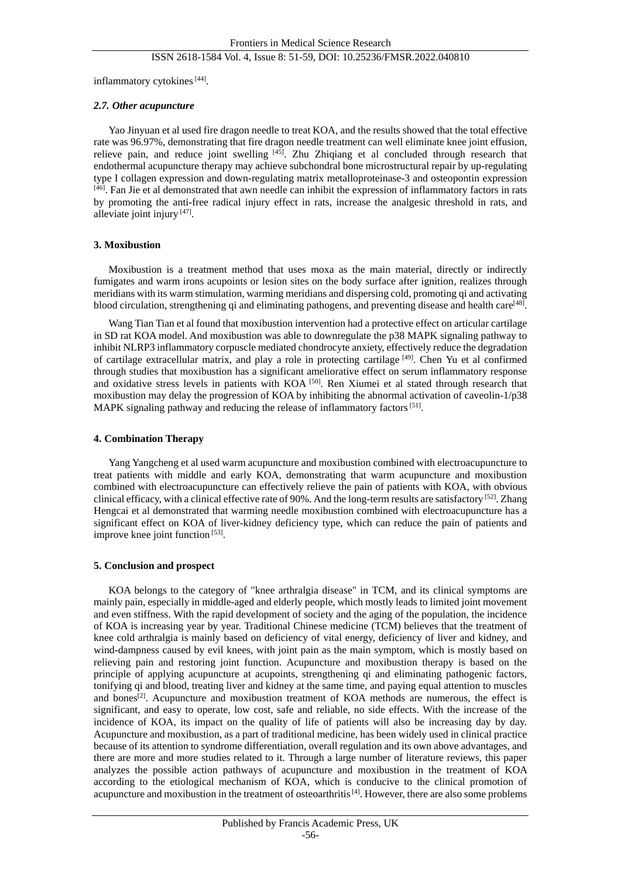inflammatory cytokines<sup>[44]</sup>.

#### *2.7. Other acupuncture*

Yao Jinyuan et al used fire dragon needle to treat KOA, and the results showed that the total effective rate was 96.97%, demonstrating that fire dragon needle treatment can well eliminate knee joint effusion, relieve pain, and reduce joint swelling [45]. Zhu Zhiqiang et al concluded through research that endothermal acupuncture therapy may achieve subchondral bone microstructural repair by up-regulating type I collagen expression and down-regulating matrix metalloproteinase-3 and osteopontin expression [46]. Fan Jie et al demonstrated that awn needle can inhibit the expression of inflammatory factors in rats by promoting the anti-free radical injury effect in rats, increase the analgesic threshold in rats, and alleviate joint injury [47].

#### **3. Moxibustion**

Moxibustion is a treatment method that uses moxa as the main material, directly or indirectly fumigates and warm irons acupoints or lesion sites on the body surface after ignition, realizes through meridians with its warm stimulation, warming meridians and dispersing cold, promoting qi and activating blood circulation, strengthening qi and eliminating pathogens, and preventing disease and health care<sup>[48]</sup>.

Wang Tian Tian et al found that moxibustion intervention had a protective effect on articular cartilage in SD rat KOA model. And moxibustion was able to downregulate the p38 MAPK signaling pathway to inhibit NLRP3 inflammatory corpuscle mediated chondrocyte anxiety, effectively reduce the degradation of cartilage extracellular matrix, and play a role in protecting cartilage [49]. Chen Yu et al confirmed through studies that moxibustion has a significant ameliorative effect on serum inflammatory response and oxidative stress levels in patients with KOA [50]. Ren Xiumei et al stated through research that moxibustion may delay the progression of KOA by inhibiting the abnormal activation of caveolin-1/p38 MAPK signaling pathway and reducing the release of inflammatory factors<sup>[51]</sup>.

#### **4. Combination Therapy**

Yang Yangcheng et al used warm acupuncture and moxibustion combined with electroacupuncture to treat patients with middle and early KOA, demonstrating that warm acupuncture and moxibustion combined with electroacupuncture can effectively relieve the pain of patients with KOA, with obvious clinical efficacy, with a clinical effective rate of 90%. And the long-term results are satisfactory<sup>[52]</sup>. Zhang Hengcai et al demonstrated that warming needle moxibustion combined with electroacupuncture has a significant effect on KOA of liver-kidney deficiency type, which can reduce the pain of patients and improve knee joint function<sup>[53]</sup>.

#### **5. Conclusion and prospect**

KOA belongs to the category of "knee arthralgia disease" in TCM, and its clinical symptoms are mainly pain, especially in middle-aged and elderly people, which mostly leads to limited joint movement and even stiffness. With the rapid development of society and the aging of the population, the incidence of KOA is increasing year by year. Traditional Chinese medicine (TCM) believes that the treatment of knee cold arthralgia is mainly based on deficiency of vital energy, deficiency of liver and kidney, and wind-dampness caused by evil knees, with joint pain as the main symptom, which is mostly based on relieving pain and restoring joint function. Acupuncture and moxibustion therapy is based on the principle of applying acupuncture at acupoints, strengthening qi and eliminating pathogenic factors, tonifying qi and blood, treating liver and kidney at the same time, and paying equal attention to muscles and bones<sup> $[2]$ </sup>. Acupuncture and moxibustion treatment of KOA methods are numerous, the effect is significant, and easy to operate, low cost, safe and reliable, no side effects. With the increase of the incidence of KOA, its impact on the quality of life of patients will also be increasing day by day. Acupuncture and moxibustion, as a part of traditional medicine, has been widely used in clinical practice because of its attention to syndrome differentiation, overall regulation and its own above advantages, and there are more and more studies related to it. Through a large number of literature reviews, this paper analyzes the possible action pathways of acupuncture and moxibustion in the treatment of KOA according to the etiological mechanism of KOA, which is conducive to the clinical promotion of acupuncture and moxibustion in the treatment of osteoarthritis<sup>[4]</sup>. However, there are also some problems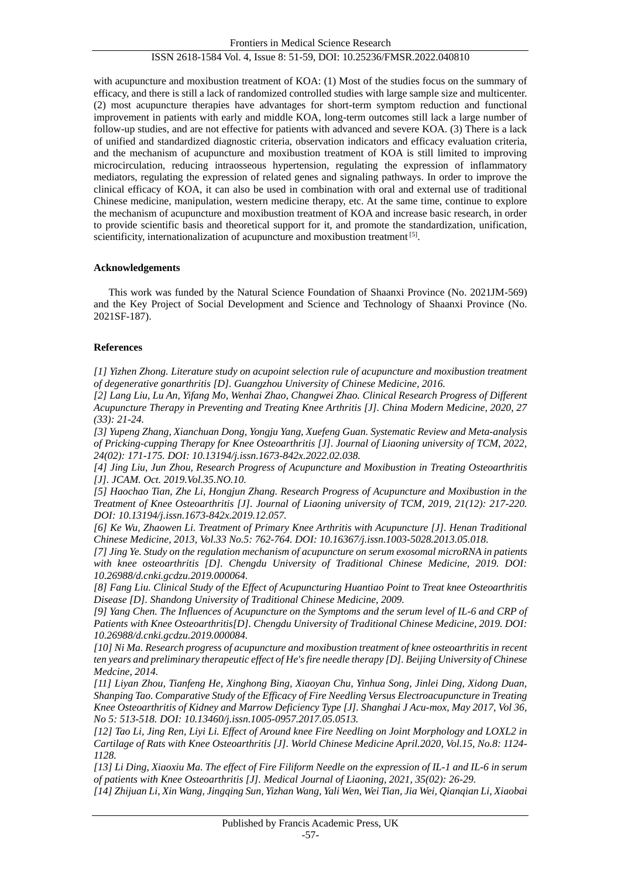with acupuncture and moxibustion treatment of KOA: (1) Most of the studies focus on the summary of efficacy, and there is still a lack of randomized controlled studies with large sample size and multicenter. (2) most acupuncture therapies have advantages for short-term symptom reduction and functional improvement in patients with early and middle KOA, long-term outcomes still lack a large number of follow-up studies, and are not effective for patients with advanced and severe KOA. (3) There is a lack of unified and standardized diagnostic criteria, observation indicators and efficacy evaluation criteria, and the mechanism of acupuncture and moxibustion treatment of KOA is still limited to improving microcirculation, reducing intraosseous hypertension, regulating the expression of inflammatory mediators, regulating the expression of related genes and signaling pathways. In order to improve the clinical efficacy of KOA, it can also be used in combination with oral and external use of traditional Chinese medicine, manipulation, western medicine therapy, etc. At the same time, continue to explore the mechanism of acupuncture and moxibustion treatment of KOA and increase basic research, in order to provide scientific basis and theoretical support for it, and promote the standardization, unification, scientificity, internationalization of acupuncture and moxibustion treatment [5].

#### **Acknowledgements**

This work was funded by the Natural Science Foundation of Shaanxi Province (No. 2021JM-569) and the Key Project of Social Development and Science and Technology of Shaanxi Province (No. 2021SF-187).

#### **References**

*[1] Yizhen Zhong. Literature study on acupoint selection rule of acupuncture and moxibustion treatment of degenerative gonarthritis [D]. Guangzhou University of Chinese Medicine, 2016.*

*[2] Lang Liu, Lu An, Yifang Mo, Wenhai Zhao, Changwei Zhao. Clinical Research Progress of Different Acupuncture Therapy in Preventing and Treating Knee Arthritis [J]. China Modern Medicine, 2020, 27 (33): 21-24.*

*[3] Yupeng Zhang, Xianchuan Dong, Yongju Yang, Xuefeng Guan. Systematic Review and Meta-analysis of Pricking-cupping Therapy for Knee Osteoarthritis [J]. Journal of Liaoning university of TCM, 2022, 24(02): 171-175. DOI: 10.13194/j.issn.1673-842x.2022.02.038.*

*[4] Jing Liu, Jun Zhou, Research Progress of Acupuncture and Moxibustion in Treating Osteoarthritis [J]. JCAM. Oct. 2019.Vol.35.NO.10.*

*[5] Haochao Tian, Zhe Li, Hongjun Zhang. Research Progress of Acupuncture and Moxibustion in the Treatment of Knee Osteoarthritis [J]. Journal of Liaoning university of TCM, 2019, 21(12): 217-220. DOI: 10.13194/j.issn.1673-842x.2019.12.057.*

*[6] Ke Wu, Zhaowen Li. Treatment of Primary Knee Arthritis with Acupuncture [J]. Henan Traditional Chinese Medicine, 2013, Vol.33 No.5: 762-764. DOI: 10.16367/j.issn.1003-5028.2013.05.018.* 

*[7] Jing Ye. Study on the regulation mechanism of acupuncture on serum exosomal microRNA in patients with knee osteoarthritis [D]. Chengdu University of Traditional Chinese Medicine, 2019. DOI: 10.26988/d.cnki.gcdzu.2019.000064.*

*[8] Fang Liu. Clinical Study of the Effect of Acupuncturing Huantiao Point to Treat knee Osteoarthritis Disease [D]. Shandong University of Traditional Chinese Medicine, 2009.*

*[9] Yang Chen. The Influences of Acupuncture on the Symptoms and the serum level of IL-6 and CRP of Patients with Knee Osteoarthritis[D]. Chengdu University of Traditional Chinese Medicine, 2019. DOI: 10.26988/d.cnki.gcdzu.2019.000084.*

*[10] Ni Ma. Research progress of acupuncture and moxibustion treatment of knee osteoarthritis in recent ten years and preliminary therapeutic effect of He's fire needle therapy [D]. Beijing University of Chinese Medcine, 2014.*

*[11] Liyan Zhou, Tianfeng He, Xinghong Bing, Xiaoyan Chu, Yinhua Song, Jinlei Ding, Xidong Duan, Shanping Tao. Comparative Study of the Efficacy of Fire Needling Versus Electroacupuncture in Treating Knee Osteoarthritis of Kidney and Marrow Deficiency Type [J]. Shanghai J Acu-mox, May 2017, Vol 36, No 5: 513-518. DOI: 10.13460/j.issn.1005-0957.2017.05.0513.*

*[12] Tao Li, Jing Ren, Liyi Li. Effect of Around knee Fire Needling on Joint Morphology and LOXL2 in Cartilage of Rats with Knee Osteoarthritis [J]. World Chinese Medicine April.2020, Vol.15, No.8: 1124- 1128.*

*[13] Li Ding, Xiaoxiu Ma. The effect of Fire Filiform Needle on the expression of IL-1 and IL-6 in serum of patients with Knee Osteoarthritis [J]. Medical Journal of Liaoning, 2021, 35(02): 26-29.*

*[14] Zhijuan Li, Xin Wang, Jingqing Sun, Yizhan Wang, Yali Wen, Wei Tian, Jia Wei, Qianqian Li, Xiaobai*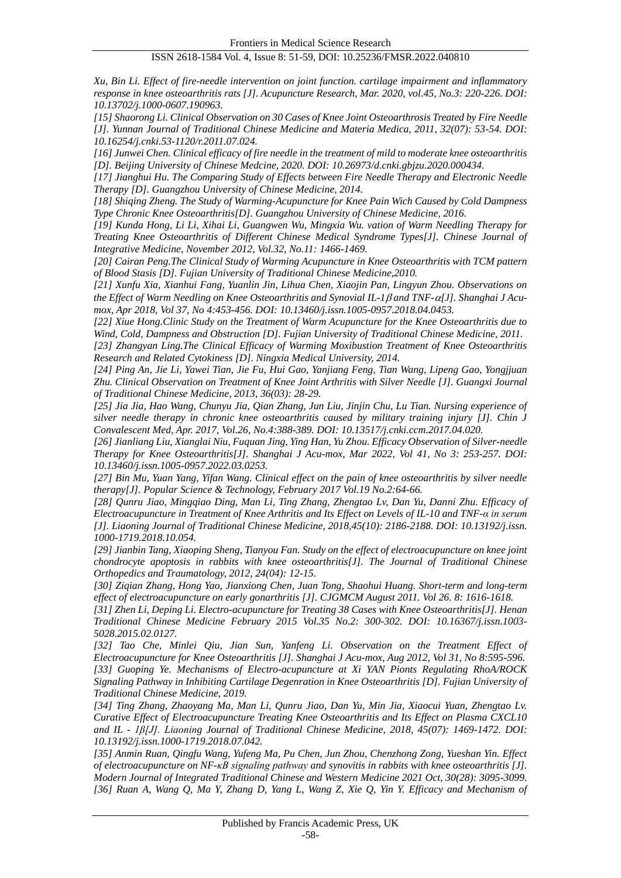*Xu, Bin Li. Effect of fire-needle intervention on joint function. cartilage impairment and inflammatory response in knee osteoarthritis rats [J]. Acupuncture Research, Mar. 2020, vol.45, No.3: 220-226. DOI: 10.13702/j.1000-0607.190963.*

*[15] Shaorong Li. Clinical Observation on 30 Cases of Knee Joint Osteoarthrosis Treated by Fire Needle [J]. Yunnan Journal of Traditional Chinese Medicine and Materia Medica, 2011, 32(07): 53-54. DOI: 10.16254/j.cnki.53-1120/r.2011.07.024.*

*[16] Junwei Chen. Clinical efficacy of fire needle in the treatment of mild to moderate knee osteoarthritis [D]. Beijing University of Chinese Medcine, 2020. DOI: 10.26973/d.cnki.gbjzu.2020.000434.*

*[17] Jianghui Hu. The Comparing Study of Effects between Fire Needle Therapy and Electronic Needle Therapy [D]. Guangzhou University of Chinese Medicine, 2014.*

*[18] Shiqing Zheng. The Study of Warming-Acupuncture for Knee Pain Wich Caused by Cold Dampness Type Chronic Knee Osteoarthritis[D]. Guangzhou University of Chinese Medicine, 2016.*

*[19] Kunda Hong, Li Li, Xihai Li, Guangwen Wu, Mingxia Wu. vation of Warm Needling Therapy for Treating Knee Osteoarthritis of Different Chinese Medical Syndrome Types[J]. Chinese Journal of Integrative Medicine, November 2012, Vol.32, No.11: 1466-1469.*

*[20] Cairan Peng.The Clinical Study of Warming Acupuncture in Knee Osteoarthritis with TCM pattern of Blood Stasis [D]. Fujian University of Traditional Chinese Medicine,2010.*

*[21] Xunfu Xia, Xianhui Fang, Yuanlin Jin, Lihua Chen, Xiaojin Pan, Lingyun Zhou. Observations on the Effect of Warm Needling on Knee Osteoarthritis and Synovial IL-1 and TNF-[J]. Shanghai J Acumox, Apr 2018, Vol 37, No 4:453-456. DOI: 10.13460/j.issn.1005-0957.2018.04.0453.*

*[22] Xiue Hong.Clinic Study on the Treatment of Warm Acupuncture for the Knee Osteoarthritis due to Wind, Cold, Dampness and Obstruction [D]. Fujian University of Traditional Chinese Medicine, 2011.*

*[23] Zhangyan Ling.The Clinical Efficacy of Warming Moxibustion Treatment of Knee Osteoarthritis Research and Related Cytokiness [D]. Ningxia Medical University, 2014.*

*[24] Ping An, Jie Li, Yawei Tian, Jie Fu, Hui Gao, Yanjiang Feng, Tian Wang, Lipeng Gao, Yongjjuan Zhu. Clinical Observation on Treatment of Knee Joint Arthritis with Silver Needle [J]. Guangxi Journal of Traditional Chinese Medicine, 2013, 36(03): 28-29.*

*[25] Jia Jia, Hao Wang, Chunyu Jia, Qian Zhang, Jun Liu, Jinjin Chu, Lu Tian. Nursing experience of silver needle therapy in chronic knee osteoarthritis caused by military training injury [J]. Chin J Convalescent Med, Apr. 2017, Vol.26, No.4:388-389. DOI: 10.13517/j.cnki.ccm.2017.04.020.*

*[26] Jianliang Liu, Xianglai Niu, Fuquan Jing, Ying Han, Yu Zhou. Efficacy Observation of Silver-needle Therapy for Knee Osteoarthritis[J]. Shanghai J Acu-mox, Mar 2022, Vol 41, No 3: 253-257. DOI: 10.13460/j.issn.1005-0957.2022.03.0253.*

*[27] Bin Mu, Yuan Yang, Yifan Wang. Clinical effect on the pain of knee osteoarthritis by silver needle therapy[J]. Popular Science & Technology, February 2017 Vol.19 No.2:64-66.* 

*[28] Qunru Jiao, Mingqiao Ding, Man Li, Ting Zhang, Zhengtao Lv, Dan Yu, Danni Zhu. Efficacy of Electroacupuncture in Treatment of Knee Arthritis and Its Effect on Levels of IL-10 and TNF-α in serum [J]. Liaoning Journal of Traditional Chinese Medicine, 2018,45(10): 2186-2188. DOI: 10.13192/j.issn. 1000-1719.2018.10.054.*

*[29] Jianbin Tang, Xiaoping Sheng, Tianyou Fan. Study on the effect of electroacupuncture on knee joint chondrocyte apoptosis in rabbits with knee osteoarthritis[J]. The Journal of Traditional Chinese Orthopedics and Traumatology, 2012, 24(04): 12-15.*

*[30] Ziqian Zhang, Hong Yao, Jianxiong Chen, Juan Tong, Shaohui Huang. Short-term and long-term effect of electroacupuncture on early gonarthritis [J]. CJGMCM August 2011. Vol 26. 8: 1616-1618.*

*[31] Zhen Li, Deping Li. Electro-acupuncture for Treating 38 Cases with Knee Osteoarthritis[J]. Henan Traditional Chinese Medicine February 2015 Vol.35 No.2: 300-302. DOI: 10.16367/j.issn.1003- 5028.2015.02.0127.*

*[32] Tao Che, Minlei Qiu, Jian Sun, Yanfeng Li. Observation on the Treatment Effect of Electroacupuncture for Knee Osteoarthritis [J]. Shanghai J Acu-mox, Aug 2012, Vol 31, No 8:595-596. [33] Guoping Ye. Mechanisms of Electro-acupuncture at Xi YAN Pionts Regulating RhoA/ROCK Signaling Pathway in Inhibiting Cartilage Degenration in Knee Osteoarthritis [D]. Fujian University of Traditional Chinese Medicine, 2019.*

*[34] Ting Zhang, Zhaoyang Ma, Man Li, Qunru Jiao, Dan Yu, Min Jia, Xiaocui Yuan, Zhengtao Lv. Curative Effect of Electroacupuncture Treating Knee Osteoarthritis and Its Effect on Plasma CXCL10 and IL - 1β[J]. Liaoning Journal of Traditional Chinese Medicine, 2018, 45(07): 1469-1472. DOI: 10.13192/j.issn.1000-1719.2018.07.042.*

*[35] Anmin Ruan, Qingfu Wang, Yufeng Ma, Pu Chen, Jun Zhou, Chenzhong Zong, Yueshan Yin. Effect of electroacupuncture on NF-κB signaling pathway and synovitis in rabbits with knee osteoarthritis [J]. Modern Journal of Integrated Traditional Chinese and Western Medicine 2021 Oct, 30(28): 3095-3099. [36] Ruan A, Wang Q, Ma Y, Zhang D, Yang L, Wang Z, Xie Q, Yin Y. Efficacy and Mechanism of*